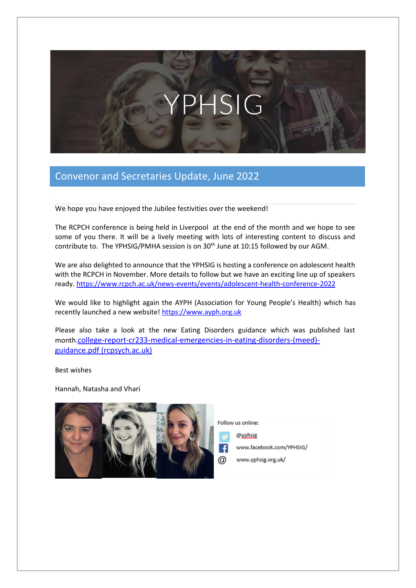# PHSIG

## Convenor and Secretaries Update, June 2022

We hope you have enjoyed the Jubilee festivities over the weekend!

The RCPCH conference is being held in Liverpool at the end of the month and we hope to see some of you there. It will be a lively meeting with lots of interesting content to discuss and contribute to. The YPHSIG/PMHA session is on 30<sup>th</sup> June at 10:15 followed by our AGM.

We are also delighted to announce that the YPHSIG is hosting a conference on adolescent health with the RCPCH in November. More details to follow but we have an exciting line up of speakers ready. <https://www.rcpch.ac.uk/news-events/events/adolescent-health-conference-2022>

We would like to highlight again the AYPH (Association for Young People's Health) which has recently launched a new website[! https://www.ayph.org.uk](https://www.ayph.org.uk/)

Please also take a look at the new Eating Disorders guidance which was published last month.[college-report-cr233-medical-emergencies-in-eating-disorders-\(meed\)](https://www.rcpsych.ac.uk/docs/default-source/improving-care/better-mh-policy/college-reports/college-report-cr233-medical-emergencies-in-eating-disorders-(meed)-guidance.pdf?sfvrsn=2d327483_50) [guidance.pdf \(rcpsych.ac.uk\)](https://www.rcpsych.ac.uk/docs/default-source/improving-care/better-mh-policy/college-reports/college-report-cr233-medical-emergencies-in-eating-disorders-(meed)-guidance.pdf?sfvrsn=2d327483_50)

Best wishes

Hannah, Natasha and Vhari



Follow us online:

@yphsig

www.facebook.com/YPHSIG/

www.yphsig.org.uk/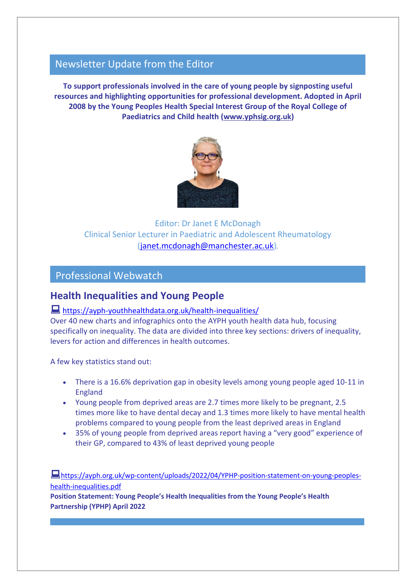## Newsletter Update from the Editor

**To support professionals involved in the care of young people by signposting useful resources and highlighting opportunities for professional development. Adopted in April 2008 by the Young Peoples Health Special Interest Group of the Royal College of Paediatrics and Child health [\(www.yphsig.org.uk\)](http://www.yphsig.org.uk/)** 



Editor: Dr Janet E McDonagh Clinical Senior Lecturer in Paediatric and Adolescent Rheumatology [\(janet.mcdonagh@manchester.ac.uk\)](mailto:janet.mcdonagh@manchester.ac.uk)*.*

## Professional Webwatch

## **Health Inequalities and Young People**

### <https://ayph-youthhealthdata.org.uk/health-inequalities/>

Over 40 new charts and infographics onto the AYPH youth health data hub, focusing specifically on inequality. The data are divided into three key sections: drivers of inequality, levers for action and differences in health outcomes.

A few key statistics stand out:

- There is a 16.6% deprivation gap in obesity levels among young people aged 10-11 in England
- Young people from deprived areas are 2.7 times more likely to be pregnant, 2.5 times more like to have dental decay and 1.3 times more likely to have mental health problems compared to young people from the least deprived areas in England
- 35% of young people from deprived areas report having a "very good" experience of their GP, compared to 43% of least deprived young people

[https://ayph.org.uk/wp-content/uploads/2022/04/YPHP-position-statement-on-young-peoples](https://ayph.org.uk/wp-content/uploads/2022/04/YPHP-position-statement-on-young-peoples-health-inequalities.pdf)[health-inequalities.pdf](https://ayph.org.uk/wp-content/uploads/2022/04/YPHP-position-statement-on-young-peoples-health-inequalities.pdf) **Position Statement: Young People's Health Inequalities from the Young People's Health** 

**Partnership (YPHP) April 2022**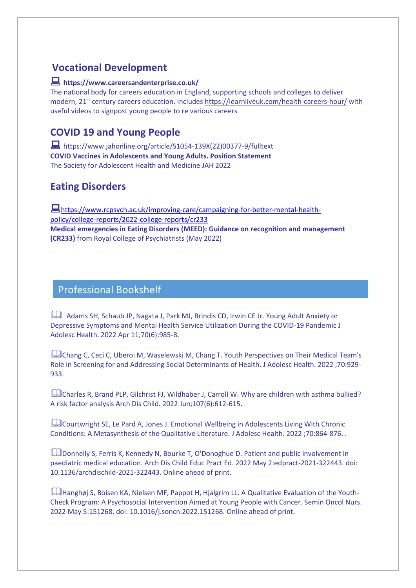# **Vocational Development**

#### **https://www.careersandenterprise.co.uk/**

The national body for careers education in England, supporting schools and colleges to deliver modern, 21<sup>st</sup> century careers education. Includes<https://learnliveuk.com/health-careers-hour/> with useful videos to signpost young people to re various careers

# **COVID 19 and Young People**

 https://www.jahonline.org/article/S1054-139X(22)00377-9/fulltext **COVID Vaccines in Adolescents and Young Adults. Position Statement**  The Society for Adolescent Health and Medicine JAH 2022

# **Eating Disorders**

[https://www.rcpsych.ac.uk/improving-care/campaigning-for-better-mental-health](https://www.rcpsych.ac.uk/improving-care/campaigning-for-better-mental-health-policy/college-reports/2022-college-reports/cr233)[policy/college-reports/2022-college-reports/cr233](https://www.rcpsych.ac.uk/improving-care/campaigning-for-better-mental-health-policy/college-reports/2022-college-reports/cr233) **Medical emergencies in Eating Disorders (MEED): Guidance on recognition and management (CR233)** from Royal College of Psychiatrists (May 2022)

## Professional Bookshelf

Adams SH, Schaub JP, Nagata J, Park MJ, Brindis CD, Irwin CE Jr. Young Adult Anxiety or Depressive Symptoms and Mental Health Service Utilization During the COVID-19 Pandemic J Adolesc Health. 2022 Apr 11;70(6):985-8.

Chang C, Ceci C, Uberoi M, Waselewski M, Chang T. Youth Perspectives on Their Medical Team's Role in Screening for and Addressing Social Determinants of Health. J Adolesc Health. 2022 ;70:929- 933.

Lotarles R, Brand PLP, Gilchrist FJ, Wildhaber J, Carroll W. Why are children with asthma bullied? A risk factor analysis Arch Dis Child. 2022 Jun;107(6):612-615.

Courtwright SE, Le Pard A, Jones J. Emotional Wellbeing in Adolescents Living With Chronic Conditions: A Metasynthesis of the Qualitative Literature. J Adolesc Health. 2022 ;70:864-876. .

Donnelly S, Ferris K, Kennedy N, Bourke T, O'Donoghue D. Patient and public involvement in paediatric medical education. Arch Dis Child Educ Pract Ed. 2022 May 2:edpract-2021-322443. doi: 10.1136/archdischild-2021-322443. Online ahead of print.

Hanghøj S, Boisen KA, Nielsen MF, Pappot H, Hjalgrim LL. A Qualitative Evaluation of the Youth-Check Program: A Psychosocial Intervention Aimed at Young People with Cancer. Semin Oncol Nurs. 2022 May 5:151268. doi: 10.1016/j.soncn.2022.151268. Online ahead of print.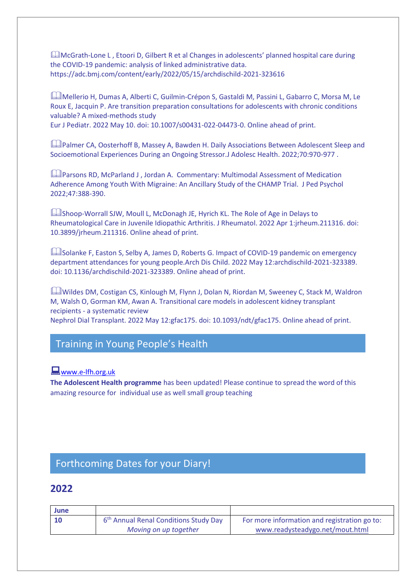**MCGrath-Lone L, Etoori D, Gilbert R et al Changes in adolescents' planned hospital care during** the COVID-19 pandemic: analysis of linked administrative data. https://adc.bmj.com/content/early/2022/05/15/archdischild-2021-323616

Mellerio H, Dumas A, Alberti C, Guilmin-Crépon S, Gastaldi M, Passini L, Gabarro C, Morsa M, Le Roux E, Jacquin P. Are transition preparation consultations for adolescents with chronic conditions valuable? A mixed-methods study Eur J Pediatr. 2022 May 10. doi: 10.1007/s00431-022-04473-0. Online ahead of print.

**LA**Palmer CA, Oosterhoff B, Massey A, Bawden H. Daily Associations Between Adolescent Sleep and Socioemotional Experiences During an Ongoing Stressor.J Adolesc Health. 2022;70:970-977 .

**LA** Parsons RD, McParland J, Jordan A. Commentary: Multimodal Assessment of Medication Adherence Among Youth With Migraine: An Ancillary Study of the CHAMP Trial. J Ped Psychol 2022;47:388-390.

LShoop-Worrall SJW, Moull L, McDonagh JE, Hyrich KL. The Role of Age in Delays to Rheumatological Care in Juvenile Idiopathic Arthritis. J Rheumatol. 2022 Apr 1:jrheum.211316. doi: 10.3899/jrheum.211316. Online ahead of print.

Solanke F, Easton S, Selby A, James D, Roberts G. Impact of COVID-19 pandemic on emergency department attendances for young people.Arch Dis Child. 2022 May 12:archdischild-2021-323389. doi: 10.1136/archdischild-2021-323389. Online ahead of print.

Wildes DM, Costigan CS, Kinlough M, Flynn J, Dolan N, Riordan M, Sweeney C, Stack M, Waldron M, Walsh O, Gorman KM, Awan A. Transitional care models in adolescent kidney transplant recipients - a systematic review Nephrol Dial Transplant. 2022 May 12:gfac175. doi: 10.1093/ndt/gfac175. Online ahead of print.

## Training in Young People's Health

#### **Www.e-Ifh.org.uk**

**The Adolescent Health programme** has been updated! Please continue to spread the word of this amazing resource for individual use as well small group teaching

# Forthcoming Dates for your Diary!

#### **2022**

| June |                                                   |                                              |
|------|---------------------------------------------------|----------------------------------------------|
| - 10 | 6 <sup>th</sup> Annual Renal Conditions Study Day | For more information and registration go to: |
|      | Moving on up together                             | www.readysteadygo.net/mout.html              |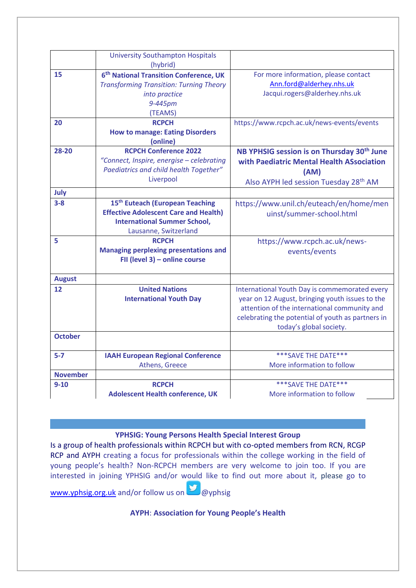|                 | <b>University Southampton Hospitals</b><br>(hybrid)                                                                                                         |                                                                                                                                                                                                                                  |
|-----------------|-------------------------------------------------------------------------------------------------------------------------------------------------------------|----------------------------------------------------------------------------------------------------------------------------------------------------------------------------------------------------------------------------------|
| 15              | 6 <sup>th</sup> National Transition Conference, UK<br><b>Transforming Transition: Turning Theory</b><br>into practice<br>9-445pm<br>(TEAMS)                 | For more information, please contact<br>Ann.ford@alderhey.nhs.uk<br>Jacqui.rogers@alderhey.nhs.uk                                                                                                                                |
| 20              | <b>RCPCH</b><br><b>How to manage: Eating Disorders</b><br>(online)                                                                                          | https://www.rcpch.ac.uk/news-events/events                                                                                                                                                                                       |
| 28-20           | <b>RCPCH Conference 2022</b><br>"Connect, Inspire, energise - celebrating<br>Paediatrics and child health Together"<br>Liverpool                            | NB YPHSIG session is on Thursday 30 <sup>th</sup> June<br>with Paediatric Mental Health ASsociation<br>(AM)<br>Also AYPH led session Tuesday 28 <sup>th</sup> AM                                                                 |
| July            |                                                                                                                                                             |                                                                                                                                                                                                                                  |
| $3 - 8$         | 15 <sup>th</sup> Euteach (European Teaching<br><b>Effective Adolescent Care and Health)</b><br><b>International Summer School,</b><br>Lausanne, Switzerland | https://www.unil.ch/euteach/en/home/men<br>uinst/summer-school.html                                                                                                                                                              |
| 5               | <b>RCPCH</b><br><b>Managing perplexing presentations and</b><br>FII (level 3) - online course                                                               | https://www.rcpch.ac.uk/news-<br>events/events                                                                                                                                                                                   |
| <b>August</b>   |                                                                                                                                                             |                                                                                                                                                                                                                                  |
| 12              | <b>United Nations</b><br><b>International Youth Day</b>                                                                                                     | International Youth Day is commemorated every<br>year on 12 August, bringing youth issues to the<br>attention of the international community and<br>celebrating the potential of youth as partners in<br>today's global society. |
| <b>October</b>  |                                                                                                                                                             |                                                                                                                                                                                                                                  |
| $5 - 7$         | <b>IAAH European Regional Conference</b><br>Athens, Greece                                                                                                  | *** SAVE THE DATE ***<br>More information to follow                                                                                                                                                                              |
| <b>November</b> |                                                                                                                                                             |                                                                                                                                                                                                                                  |
| $9 - 10$        | <b>RCPCH</b><br><b>Adolescent Health conference, UK</b>                                                                                                     | *** SAVE THE DATE***<br>More information to follow                                                                                                                                                                               |

#### **YPHSIG: Young Persons Health Special Interest Group**

Is a group of health professionals within RCPCH but with co-opted members from RCN, RCGP RCP and AYPH creating a focus for professionals within the college working in the field of young people's health? Non-RCPCH members are very welcome to join too. If you are interested in joining YPHSIG and/or would like to find out more about it, please go to [www.yphsig.org.uk](http://www.yphsig.org.uk/) and/or follow us on @wyphsig

**AYPH**: **Association for Young People's Health**